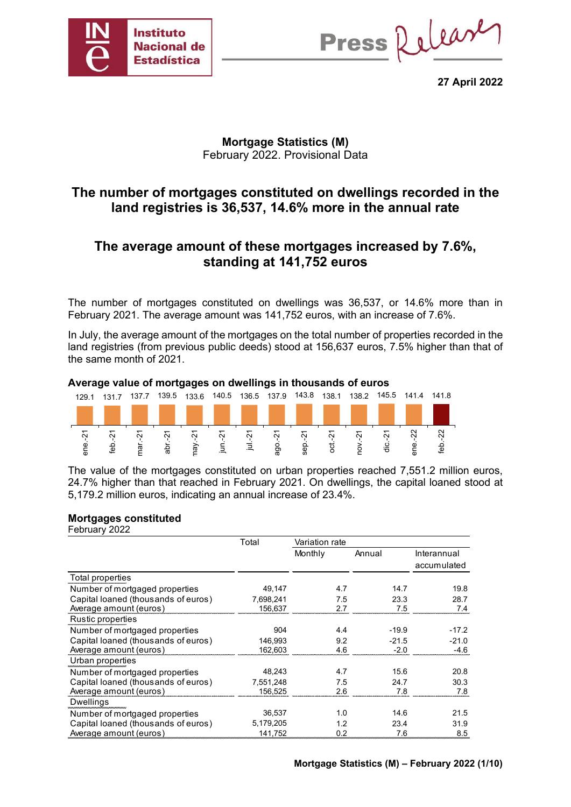

Press Release

**27 April 2022**

### **Mortgage Statistics (M)** February 2022. Provisional Data

## **The number of mortgages constituted on dwellings recorded in the land registries is 36,537, 14.6% more in the annual rate**

## **The average amount of these mortgages increased by 7.6%, standing at 141,752 euros**

The number of mortgages constituted on dwellings was 36,537, or 14.6% more than in February 2021. The average amount was 141,752 euros, with an increase of 7.6%.

In July, the average amount of the mortgages on the total number of properties recorded in the land registries (from previous public deeds) stood at 156,637 euros, 7.5% higher than that of the same month of 2021.



#### **Average value of mortgages on dwellings in thousands of euros**

The value of the mortgages constituted on urban properties reached 7,551.2 million euros, 24.7% higher than that reached in February 2021. On dwellings, the capital loaned stood at 5,179.2 million euros, indicating an annual increase of 23.4%.

#### **Mortgages constituted**

| February 2022                       |           |                  |         |             |
|-------------------------------------|-----------|------------------|---------|-------------|
|                                     | Total     | Variation rate   |         |             |
|                                     |           | Monthly          | Annual  | Interannual |
|                                     |           |                  |         | accumulated |
| Total properties                    |           |                  |         |             |
| Number of mortgaged properties      | 49.147    | 4.7              | 14.7    | 19.8        |
| Capital loaned (thousands of euros) | 7,698,241 | 7.5              | 23.3    | 28.7        |
| Average amount (euros)              | 156,637   | 27               | 7.5     | 7.4         |
| Rustic properties                   |           |                  |         |             |
| Number of mortgaged properties      | 904       | 4.4              | $-19.9$ | $-17.2$     |
| Capital loaned (thousands of euros) | 146.993   | 9.2              | $-21.5$ | $-21.0$     |
| Average amount (euros)              | 162,603   | 4.6              | $-2.0$  | $-4.6$      |
| Urban properties                    |           |                  |         |             |
| Number of mortgaged properties      | 48,243    | 4.7              | 15.6    | 20.8        |
| Capital loaned (thousands of euros) | 7.551.248 | 7.5              | 24.7    | 30.3        |
| Average amount (euros)              | 156.525   | 2.6              | 7.8     | 7.8         |
| <b>Dwellings</b>                    |           |                  |         |             |
| Number of mortgaged properties      | 36,537    | 1.0              | 14.6    | 21.5        |
| Capital loaned (thousands of euros) | 5,179,205 | 1.2 <sub>2</sub> | 23.4    | 31.9        |
| Average amount (euros)              | 141,752   | 0.2              | 7.6     | 8.5         |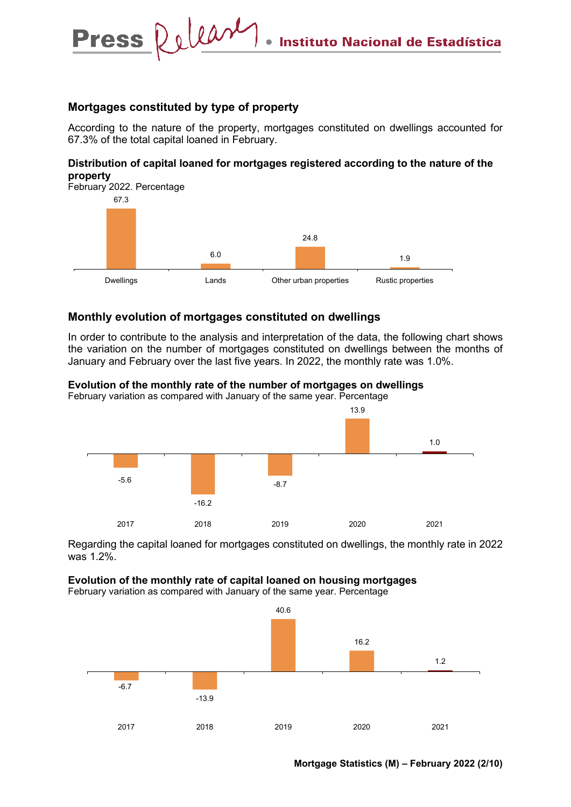#### **Mortgages constituted by type of property**

Press Relear

According to the nature of the property, mortgages constituted on dwellings accounted for 67.3% of the total capital loaned in February.

#### **Distribution of capital loaned for mortgages registered according to the nature of the property**



#### **Monthly evolution of mortgages constituted on dwellings**

In order to contribute to the analysis and interpretation of the data, the following chart shows the variation on the number of mortgages constituted on dwellings between the months of January and February over the last five years. In 2022, the monthly rate was 1.0%.



**Evolution of the monthly rate of the number of mortgages on dwellings** 

Regarding the capital loaned for mortgages constituted on dwellings, the monthly rate in 2022 was 1.2%.

#### **Evolution of the monthly rate of capital loaned on housing mortgages**

February variation as compared with January of the same year. Percentage

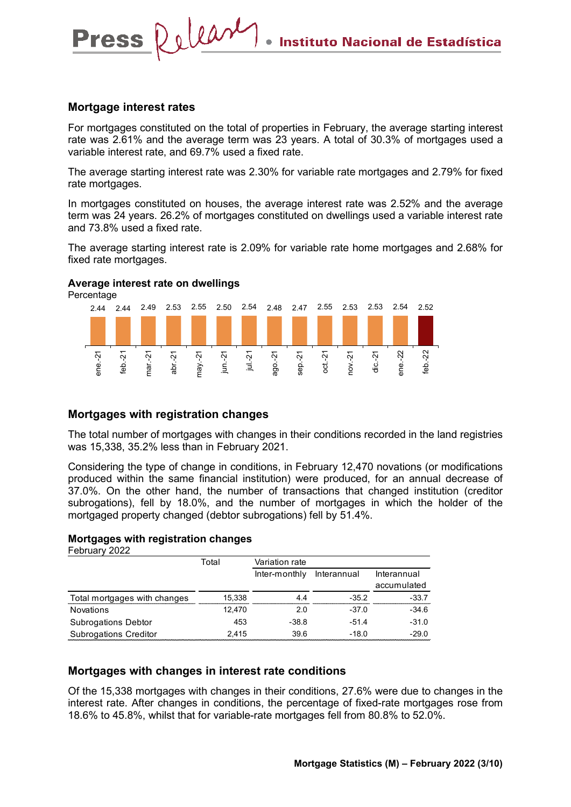#### **Mortgage interest rates**

**Press** 

Release

For mortgages constituted on the total of properties in February, the average starting interest rate was 2.61% and the average term was 23 years. A total of 30.3% of mortgages used a variable interest rate, and 69.7% used a fixed rate.

The average starting interest rate was 2.30% for variable rate mortgages and 2.79% for fixed rate mortgages.

In mortgages constituted on houses, the average interest rate was 2.52% and the average term was 24 years. 26.2% of mortgages constituted on dwellings used a variable interest rate and 73.8% used a fixed rate.

The average starting interest rate is 2.09% for variable rate home mortgages and 2.68% for fixed rate mortgages.

#### **Average interest rate on dwellings**

Percentage



#### **Mortgages with registration changes**

The total number of mortgages with changes in their conditions recorded in the land registries was 15,338, 35.2% less than in February 2021.

Considering the type of change in conditions, in February 12,470 novations (or modifications produced within the same financial institution) were produced, for an annual decrease of 37.0%. On the other hand, the number of transactions that changed institution (creditor subrogations), fell by 18.0%, and the number of mortgages in which the holder of the mortgaged property changed (debtor subrogations) fell by 51.4%.

#### **Mortgages with registration changes**

February 2022

|                              | Total  | Variation rate |             |             |
|------------------------------|--------|----------------|-------------|-------------|
|                              |        | Inter-monthly  | Interannual | Interannual |
|                              |        |                |             | accumulated |
| Total mortgages with changes | 15,338 | 44             | $-35.2$     | $-33.7$     |
| <b>Novations</b>             | 12.470 | 2.0            | $-37.0$     | $-34.6$     |
| <b>Subrogations Debtor</b>   | 453    | $-38.8$        | -51.4       | $-31.0$     |
| <b>Subrogations Creditor</b> | 2.415  | 39.6           | $-18.0$     | $-29.0$     |

#### **Mortgages with changes in interest rate conditions**

Of the 15,338 mortgages with changes in their conditions, 27.6% were due to changes in the interest rate. After changes in conditions, the percentage of fixed-rate mortgages rose from 18.6% to 45.8%, whilst that for variable-rate mortgages fell from 80.8% to 52.0%.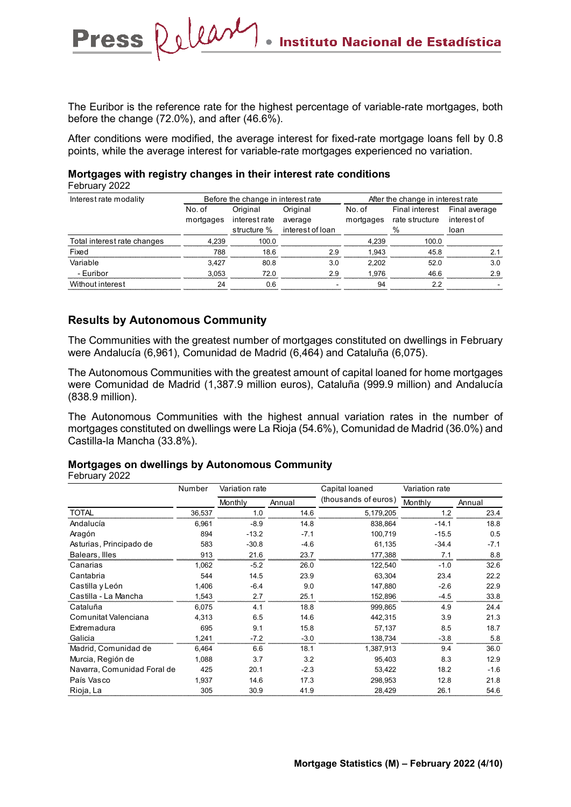The Euribor is the reference rate for the highest percentage of variable-rate mortgages, both before the change (72.0%), and after (46.6%).

After conditions were modified, the average interest for fixed-rate mortgage loans fell by 0.8 points, while the average interest for variable-rate mortgages experienced no variation.

### **Mortgages with registry changes in their interest rate conditions**

February 2022

| Interest rate modality      |           | Before the change in interest rate |                              | After the change in interest rate |                              |             |  |
|-----------------------------|-----------|------------------------------------|------------------------------|-----------------------------------|------------------------------|-------------|--|
|                             | No. of    | Original                           | Original                     | No. of                            | Final interest Final average |             |  |
|                             | mortgages | interest rate                      | average                      | mortgages                         | rate structure               | interest of |  |
|                             |           |                                    | structure % interest of loan |                                   | $\%$                         | loan        |  |
| Total interest rate changes | 4.239     | 100.0                              |                              | 4.239                             | 100.0                        |             |  |
| Fixed                       | 788       | 18.6                               | 29                           | 1.943                             | 45.8                         |             |  |
| Variable                    | 3.427     | 80.8                               | 3.0                          | 2.202                             | 52.0                         | 3.0         |  |
| - Euribor                   | 3.053     | 72.0                               | 2.9                          | 1.976                             | 46.6                         | 2.9         |  |
| Without interest            | 24        | 0 6                                |                              | 94                                | っっ                           |             |  |

#### **Results by Autonomous Community**

Press Release

The Communities with the greatest number of mortgages constituted on dwellings in February were Andalucía (6,961), Comunidad de Madrid (6,464) and Cataluña (6,075).

The Autonomous Communities with the greatest amount of capital loaned for home mortgages were Comunidad de Madrid (1,387.9 million euros), Cataluña (999.9 million) and Andalucía (838.9 million).

The Autonomous Communities with the highest annual variation rates in the number of mortgages constituted on dwellings were La Rioja (54.6%), Comunidad de Madrid (36.0%) and Castilla-la Mancha (33.8%).

#### **Mortgages on dwellings by Autonomous Community**

February 2022

|                             | Number | Variation rate |        | Capital loaned       | Variation rate |        |
|-----------------------------|--------|----------------|--------|----------------------|----------------|--------|
|                             |        | Monthly        | Annual | (thousands of euros) | Monthly        | Annual |
| <b>TOTAL</b>                | 36,537 | 1.0            | 14.6   | 5,179,205            | 1.2            | 23.4   |
| Andalucía                   | 6,961  | $-8.9$         | 14.8   | 838,864              | $-14.1$        | 18.8   |
| Aragón                      | 894    | $-13.2$        | $-7.1$ | 100,719              | $-15.5$        | 0.5    |
| Asturias, Principado de     | 583    | $-30.8$        | $-4.6$ | 61,135               | $-34.4$        | $-7.1$ |
| Balears, Illes              | 913    | 21.6           | 23.7   | 177,388              | 7.1            | 8.8    |
| Canarias                    | 1,062  | $-5.2$         | 26.0   | 122,540              | $-1.0$         | 32.6   |
| Cantabria                   | 544    | 14.5           | 23.9   | 63,304               | 23.4           | 22.2   |
| Castilla y León             | 1.406  | $-6.4$         | 9.0    | 147.880              | $-2.6$         | 22.9   |
| Castilla - La Mancha        | 1,543  | 2.7            | 25.1   | 152,896              | $-4.5$         | 33.8   |
| Cataluña                    | 6,075  | 4.1            | 18.8   | 999.865              | 4.9            | 24.4   |
| Comunitat Valenciana        | 4,313  | 6.5            | 14.6   | 442,315              | 3.9            | 21.3   |
| Extremadura                 | 695    | 9.1            | 15.8   | 57,137               | 8.5            | 18.7   |
| Galicia                     | 1.241  | $-7.2$         | $-3.0$ | 138,734              | $-3.8$         | 5.8    |
| Madrid, Comunidad de        | 6,464  | 6.6            | 18.1   | 1,387,913            | 9.4            | 36.0   |
| Murcia, Región de           | 1,088  | 3.7            | 3.2    | 95,403               | 8.3            | 12.9   |
| Navarra, Comunidad Foral de | 425    | 20.1           | $-2.3$ | 53,422               | 18.2           | $-1.6$ |
| País Vasco                  | 1,937  | 14.6           | 17.3   | 298,953              | 12.8           | 21.8   |
| Rioja, La                   | 305    | 30.9           | 41.9   | 28,429               | 26.1           | 54.6   |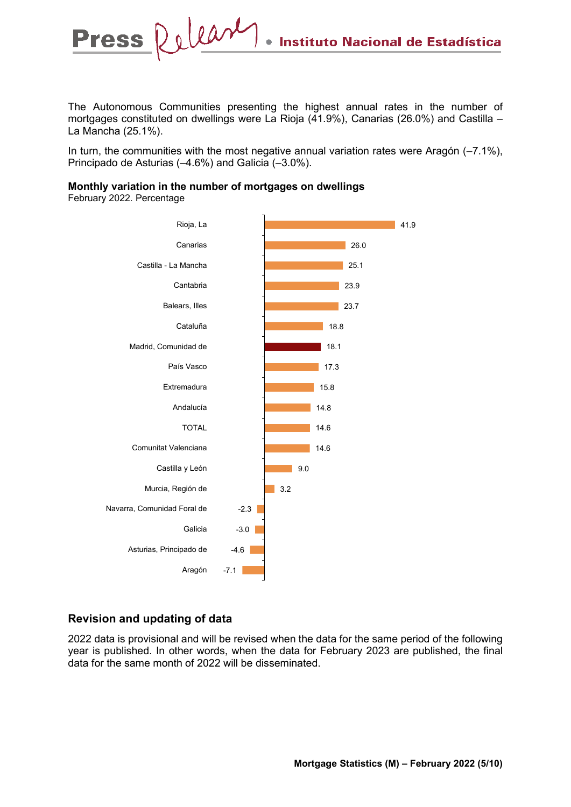The Autonomous Communities presenting the highest annual rates in the number of mortgages constituted on dwellings were La Rioja (41.9%), Canarias (26.0%) and Castilla – La Mancha (25.1%).

In turn, the communities with the most negative annual variation rates were Aragón (–7.1%), Principado de Asturias (–4.6%) and Galicia (–3.0%).

#### **Monthly variation in the number of mortgages on dwellings**

February 2022. Percentage

**Press** 



### **Revision and updating of data**

2022 data is provisional and will be revised when the data for the same period of the following year is published. In other words, when the data for February 2023 are published, the final data for the same month of 2022 will be disseminated.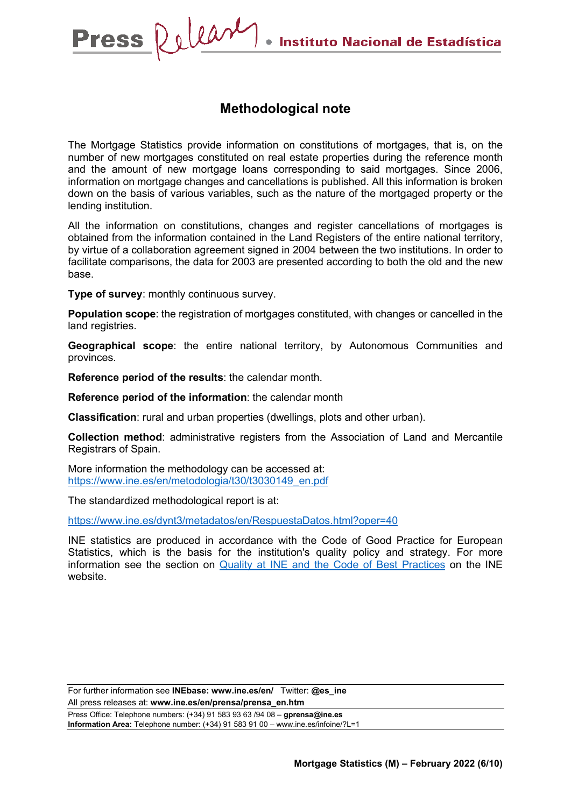### **Methodological note**

The Mortgage Statistics provide information on constitutions of mortgages, that is, on the number of new mortgages constituted on real estate properties during the reference month and the amount of new mortgage loans corresponding to said mortgages. Since 2006, information on mortgage changes and cancellations is published. All this information is broken down on the basis of various variables, such as the nature of the mortgaged property or the lending institution.

All the information on constitutions, changes and register cancellations of mortgages is obtained from the information contained in the Land Registers of the entire national territory, by virtue of a collaboration agreement signed in 2004 between the two institutions. In order to facilitate comparisons, the data for 2003 are presented according to both the old and the new base.

**Type of survey**: monthly continuous survey.

**Population scope**: the registration of mortgages constituted, with changes or cancelled in the land registries.

**Geographical scope**: the entire national territory, by Autonomous Communities and provinces.

**Reference period of the results**: the calendar month.

**Reference period of the information**: the calendar month

**Classification**: rural and urban properties (dwellings, plots and other urban).

**Collection method**: administrative registers from the Association of Land and Mercantile Registrars of Spain.

More information the methodology can be accessed at: [https://www.ine.es/en/metodologia/t30/t3030149\\_en.pdf](https://www.ine.es/en/metodologia/t30/t3030149_en.pdf)

The standardized methodological report is at:

https://www.ine.es/dynt3/metadatos/en/RespuestaDatos.html?oper=40

INE statistics are produced in accordance with the Code of Good Practice for European Statistics, which is the basis for the institution's quality policy and strategy. For more information see the section on [Quality at INE and the Code of Best Practices](https://www.ine.es/ss/Satellite?L=es_ES&c=Page&cid=1259943453642&p=1259943453642&pagename=MetodologiaYEstandares/INELayout) on the INE website.

For further information see **INEbase: www.ine.es/en/** Twitter: **@es\_ine** All press releases at: **www.ine.es/en/prensa/prensa\_en.htm** Press Office: Telephone numbers: (+34) 91 583 93 63 /94 08 – **gprensa@ine.es Information Area:** Telephone number: (+34) 91 583 91 00 – www.ine.es/infoine/?L=1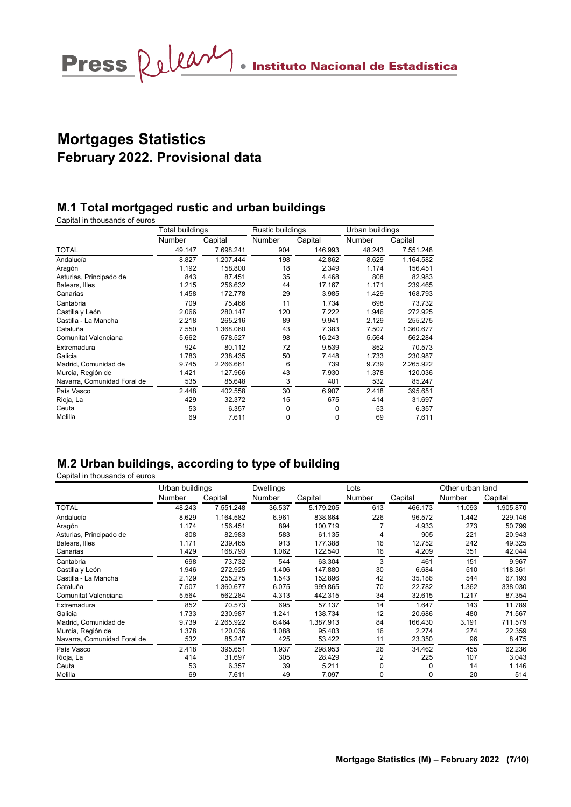# **Mortgages Statistics February 2022. Provisional data**

### **M.1 Total mortgaged rustic and urban buildings**

Capital in thousands of euros

|                             | Total buildings |           | Rustic buildings |         | Urban buildings |           |
|-----------------------------|-----------------|-----------|------------------|---------|-----------------|-----------|
|                             | Number          | Capital   | Number           | Capital | Number          | Capital   |
| <b>TOTAL</b>                | 49.147          | 7.698.241 | 904              | 146.993 | 48.243          | 7.551.248 |
| Andalucía                   | 8.827           | 1.207.444 | 198              | 42.862  | 8.629           | 1.164.582 |
| Aragón                      | 1.192           | 158.800   | 18               | 2.349   | 1.174           | 156.451   |
| Asturias, Principado de     | 843             | 87.451    | 35               | 4.468   | 808             | 82.983    |
| Balears, Illes              | 1.215           | 256.632   | 44               | 17.167  | 1.171           | 239.465   |
| Canarias                    | 1.458           | 172.778   | 29               | 3.985   | 1.429           | 168.793   |
| Cantabria                   | 709             | 75.466    | 11               | 1.734   | 698             | 73.732    |
| Castilla y León             | 2.066           | 280.147   | 120              | 7.222   | 1.946           | 272.925   |
| Castilla - La Mancha        | 2.218           | 265.216   | 89               | 9.941   | 2.129           | 255.275   |
| Cataluña                    | 7.550           | 1.368.060 | 43               | 7.383   | 7.507           | 1.360.677 |
| Comunitat Valenciana        | 5.662           | 578.527   | 98               | 16.243  | 5.564           | 562.284   |
| Extremadura                 | 924             | 80.112    | 72               | 9.539   | 852             | 70.573    |
| Galicia                     | 1.783           | 238.435   | 50               | 7.448   | 1.733           | 230.987   |
| Madrid, Comunidad de        | 9.745           | 2.266.661 | 6                | 739     | 9.739           | 2.265.922 |
| Murcia, Región de           | 1.421           | 127.966   | 43               | 7.930   | 1.378           | 120.036   |
| Navarra, Comunidad Foral de | 535             | 85.648    | 3                | 401     | 532             | 85.247    |
| País Vasco                  | 2.448           | 402.558   | 30               | 6.907   | 2.418           | 395.651   |
| Rioja, La                   | 429             | 32.372    | 15               | 675     | 414             | 31.697    |
| Ceuta                       | 53              | 6.357     | 0                | 0       | 53              | 6.357     |
| Melilla                     | 69              | 7.611     | 0                | 0       | 69              | 7.611     |

### **M.2 Urban buildings, according to type of building**

Capital in thousands of euros

|                             | Urban buildings |           | <b>Dwellings</b> |           | Lots           |         | Other urban land |           |
|-----------------------------|-----------------|-----------|------------------|-----------|----------------|---------|------------------|-----------|
|                             | Number          | Capital   | Number           | Capital   | Number         | Capital | Number           | Capital   |
| <b>TOTAL</b>                | 48.243          | 7.551.248 | 36.537           | 5.179.205 | 613            | 466.173 | 11.093           | 1.905.870 |
| Andalucía                   | 8.629           | 1.164.582 | 6.961            | 838.864   | 226            | 96.572  | 1.442            | 229.146   |
| Aragón                      | 1.174           | 156.451   | 894              | 100.719   |                | 4.933   | 273              | 50.799    |
| Asturias, Principado de     | 808             | 82.983    | 583              | 61.135    | 4              | 905     | 221              | 20.943    |
| Balears, Illes              | 1.171           | 239.465   | 913              | 177.388   | 16             | 12.752  | 242              | 49.325    |
| Canarias                    | 1.429           | 168.793   | 1.062            | 122.540   | 16             | 4.209   | 351              | 42.044    |
| Cantabria                   | 698             | 73.732    | 544              | 63.304    | 3              | 461     | 151              | 9.967     |
| Castilla y León             | 1.946           | 272.925   | 1.406            | 147.880   | 30             | 6.684   | 510              | 118.361   |
| Castilla - La Mancha        | 2.129           | 255.275   | 1.543            | 152.896   | 42             | 35.186  | 544              | 67.193    |
| Cataluña                    | 7.507           | 1.360.677 | 6.075            | 999.865   | 70             | 22.782  | 1.362            | 338.030   |
| Comunitat Valenciana        | 5.564           | 562.284   | 4.313            | 442.315   | 34             | 32.615  | 1.217            | 87.354    |
| Extremadura                 | 852             | 70.573    | 695              | 57.137    | 14             | 1.647   | 143              | 11.789    |
| Galicia                     | 1.733           | 230.987   | 1.241            | 138.734   | 12             | 20.686  | 480              | 71.567    |
| Madrid, Comunidad de        | 9.739           | 2.265.922 | 6.464            | 1.387.913 | 84             | 166.430 | 3.191            | 711.579   |
| Murcia, Región de           | 1.378           | 120.036   | 1.088            | 95.403    | 16             | 2.274   | 274              | 22.359    |
| Navarra, Comunidad Foral de | 532             | 85.247    | 425              | 53.422    | 11             | 23.350  | 96               | 8.475     |
| País Vasco                  | 2.418           | 395.651   | 1.937            | 298.953   | 26             | 34.462  | 455              | 62.236    |
| Rioja, La                   | 414             | 31.697    | 305              | 28.429    | $\overline{2}$ | 225     | 107              | 3.043     |
| Ceuta                       | 53              | 6.357     | 39               | 5.211     |                | 0       | 14               | 1.146     |
| Melilla                     | 69              | 7.611     | 49               | 7.097     | 0              | 0       | 20               | 514       |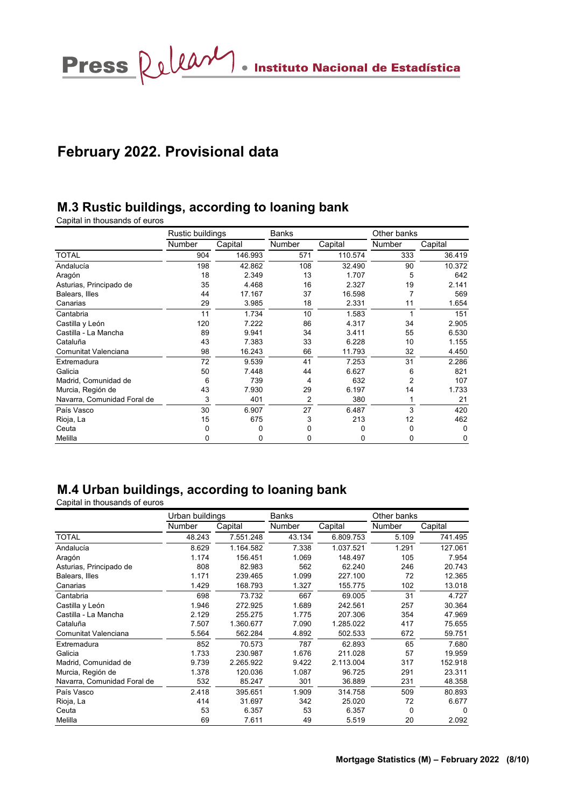Press  $\Omega$ ullant entrance de Estadística

## **February 2022. Provisional data**

## **M.3 Rustic buildings, according to loaning bank**

Capital in thousands of euros

|                             | Rustic buildings |         | Banks         |         | Other banks   |         |  |
|-----------------------------|------------------|---------|---------------|---------|---------------|---------|--|
|                             | <b>Number</b>    | Capital | <b>Number</b> | Capital | <b>Number</b> | Capital |  |
| <b>TOTAL</b>                | 904              | 146.993 | 571           | 110.574 | 333           | 36.419  |  |
| Andalucía                   | 198              | 42.862  | 108           | 32.490  | 90            | 10.372  |  |
| Aragón                      | 18               | 2.349   | 13            | 1.707   | 5             | 642     |  |
| Asturias, Principado de     | 35               | 4.468   | 16            | 2.327   | 19            | 2.141   |  |
| Balears, Illes              | 44               | 17.167  | 37            | 16.598  | 7             | 569     |  |
| Canarias                    | 29               | 3.985   | 18            | 2.331   | 11            | 1.654   |  |
| Cantabria                   | 11               | 1.734   | 10            | 1.583   |               | 151     |  |
| Castilla y León             | 120              | 7.222   | 86            | 4.317   | 34            | 2.905   |  |
| Castilla - La Mancha        | 89               | 9.941   | 34            | 3.411   | 55            | 6.530   |  |
| Cataluña                    | 43               | 7.383   | 33            | 6.228   | 10            | 1.155   |  |
| Comunitat Valenciana        | 98               | 16.243  | 66            | 11.793  | 32            | 4.450   |  |
| Extremadura                 | 72               | 9.539   | 41            | 7.253   | 31            | 2.286   |  |
| Galicia                     | 50               | 7.448   | 44            | 6.627   | 6             | 821     |  |
| Madrid, Comunidad de        | 6                | 739     | 4             | 632     | 2             | 107     |  |
| Murcia, Región de           | 43               | 7.930   | 29            | 6.197   | 14            | 1.733   |  |
| Navarra, Comunidad Foral de | 3                | 401     | 2             | 380     | 1             | 21      |  |
| País Vasco                  | 30               | 6.907   | 27            | 6.487   | 3             | 420     |  |
| Rioja, La                   | 15               | 675     | 3             | 213     | 12            | 462     |  |
| Ceuta                       | 0                | 0       | 0             | 0       | 0             | 0       |  |
| Melilla                     | 0                | 0       | 0             | 0       | 0             | 0       |  |

## **M.4 Urban buildings, according to loaning bank**

Capital in thousands of euros

|                             | Urban buildings |           | <b>Banks</b> |           | Other banks   |         |  |
|-----------------------------|-----------------|-----------|--------------|-----------|---------------|---------|--|
|                             | Number          | Capital   | Number       | Capital   | <b>Number</b> | Capital |  |
| <b>TOTAL</b>                | 48.243          | 7.551.248 | 43.134       | 6.809.753 | 5.109         | 741.495 |  |
| Andalucía                   | 8.629           | 1.164.582 | 7.338        | 1.037.521 | 1.291         | 127.061 |  |
| Aragón                      | 1.174           | 156.451   | 1.069        | 148.497   | 105           | 7.954   |  |
| Asturias, Principado de     | 808             | 82.983    | 562          | 62.240    | 246           | 20.743  |  |
| Balears, Illes              | 1.171           | 239.465   | 1.099        | 227.100   | 72            | 12.365  |  |
| Canarias                    | 1.429           | 168.793   | 1.327        | 155.775   | 102           | 13.018  |  |
| Cantabria                   | 698             | 73.732    | 667          | 69.005    | 31            | 4.727   |  |
| Castilla y León             | 1.946           | 272.925   | 1.689        | 242.561   | 257           | 30.364  |  |
| Castilla - La Mancha        | 2.129           | 255.275   | 1.775        | 207.306   | 354           | 47.969  |  |
| Cataluña                    | 7.507           | 1.360.677 | 7.090        | 1.285.022 | 417           | 75.655  |  |
| Comunitat Valenciana        | 5.564           | 562.284   | 4.892        | 502.533   | 672           | 59.751  |  |
| Extremadura                 | 852             | 70.573    | 787          | 62.893    | 65            | 7.680   |  |
| Galicia                     | 1.733           | 230.987   | 1.676        | 211.028   | 57            | 19.959  |  |
| Madrid, Comunidad de        | 9.739           | 2.265.922 | 9.422        | 2.113.004 | 317           | 152.918 |  |
| Murcia, Región de           | 1.378           | 120.036   | 1.087        | 96.725    | 291           | 23.311  |  |
| Navarra, Comunidad Foral de | 532             | 85.247    | 301          | 36.889    | 231           | 48.358  |  |
| País Vasco                  | 2.418           | 395.651   | 1.909        | 314.758   | 509           | 80.893  |  |
| Rioja, La                   | 414             | 31.697    | 342          | 25.020    | 72            | 6.677   |  |
| Ceuta                       | 53              | 6.357     | 53           | 6.357     | 0             | 0       |  |
| Melilla                     | 69              | 7.611     | 49           | 5.519     | 20            | 2.092   |  |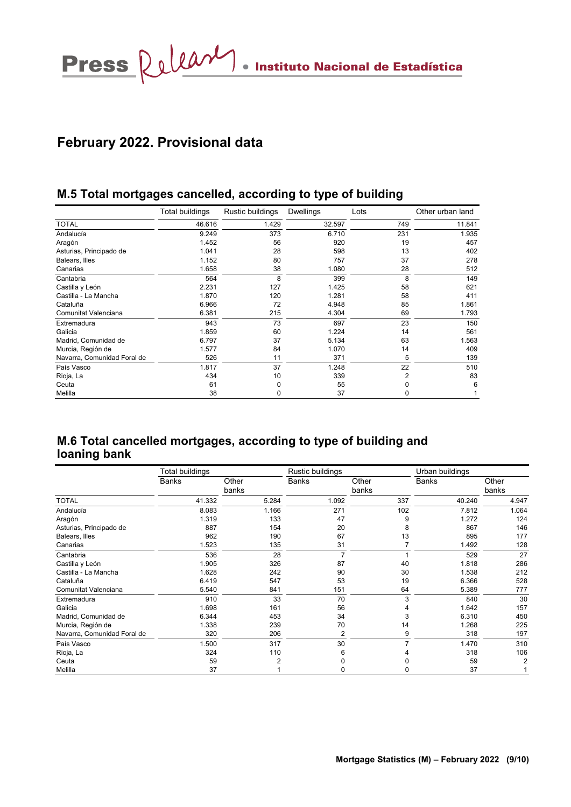# **February 2022. Provisional data**

### **M.5 Total mortgages cancelled, according to type of building**

|                             | Total buildings | Rustic buildings | <b>Dwellings</b> | Lots | Other urban land |
|-----------------------------|-----------------|------------------|------------------|------|------------------|
| <b>TOTAL</b>                | 46.616          | 1.429            | 32.597           | 749  | 11.841           |
| Andalucía                   | 9.249           | 373              | 6.710            | 231  | 1.935            |
| Aragón                      | 1.452           | 56               | 920              | 19   | 457              |
| Asturias, Principado de     | 1.041           | 28               | 598              | 13   | 402              |
| Balears, Illes              | 1.152           | 80               | 757              | 37   | 278              |
| Canarias                    | 1.658           | 38               | 1.080            | 28   | 512              |
| Cantabria                   | 564             | 8                | 399              | 8    | 149              |
| Castilla y León             | 2.231           | 127              | 1.425            | 58   | 621              |
| Castilla - La Mancha        | 1.870           | 120              | 1.281            | 58   | 411              |
| Cataluña                    | 6.966           | 72               | 4.948            | 85   | 1.861            |
| Comunitat Valenciana        | 6.381           | 215              | 4.304            | 69   | 1.793            |
| Extremadura                 | 943             | 73               | 697              | 23   | 150              |
| Galicia                     | 1.859           | 60               | 1.224            | 14   | 561              |
| Madrid, Comunidad de        | 6.797           | 37               | 5.134            | 63   | 1.563            |
| Murcia, Región de           | 1.577           | 84               | 1.070            | 14   | 409              |
| Navarra, Comunidad Foral de | 526             | 11               | 371              | 5    | 139              |
| País Vasco                  | 1.817           | 37               | 1.248            | 22   | 510              |
| Rioja, La                   | 434             | 10               | 339              | 2    | 83               |
| Ceuta                       | 61              | 0                | 55               | 0    | 6                |
| Melilla                     | 38              | 0                | 37               | 0    |                  |

### **M.6 Total cancelled mortgages, according to type of building and loaning bank**

|                             | Total buildings |                | Rustic buildings |                | Urban buildings |                |  |  |
|-----------------------------|-----------------|----------------|------------------|----------------|-----------------|----------------|--|--|
|                             | Banks           | Other<br>banks | <b>Banks</b>     | Other<br>banks | <b>Banks</b>    | Other<br>banks |  |  |
| <b>TOTAL</b>                | 41.332          | 5.284          | 1.092            | 337            | 40.240          | 4.947          |  |  |
| Andalucía                   | 8.083           | 1.166          | 271              | 102            | 7.812           | 1.064          |  |  |
| Aragón                      | 1.319           | 133            | 47               | 9              | 1.272           | 124            |  |  |
| Asturias, Principado de     | 887             | 154            | 20               | 8              | 867             | 146            |  |  |
| Balears, Illes              | 962             | 190            | 67               | 13             | 895             | 177            |  |  |
| Canarias                    | 1.523           | 135            | 31               |                | 1.492           | 128            |  |  |
| Cantabria                   | 536             | 28             |                  |                | 529             | 27             |  |  |
| Castilla y León             | 1.905           | 326            | 87               | 40             | 1.818           | 286            |  |  |
| Castilla - La Mancha        | 1.628           | 242            | 90               | 30             | 1.538           | 212            |  |  |
| Cataluña                    | 6.419           | 547            | 53               | 19             | 6.366           | 528            |  |  |
| Comunitat Valenciana        | 5.540           | 841            | 151              | 64             | 5.389           | 777            |  |  |
| Extremadura                 | 910             | 33             | 70               | 3              | 840             | 30             |  |  |
| Galicia                     | 1.698           | 161            | 56               |                | 1.642           | 157            |  |  |
| Madrid, Comunidad de        | 6.344           | 453            | 34               | 3              | 6.310           | 450            |  |  |
| Murcia, Región de           | 1.338           | 239            | 70               | 14             | 1.268           | 225            |  |  |
| Navarra, Comunidad Foral de | 320             | 206            | 2                | 9              | 318             | 197            |  |  |
| País Vasco                  | 1.500           | 317            | 30               |                | 1.470           | 310            |  |  |
| Rioja, La                   | 324             | 110            | 6                |                | 318             | 106            |  |  |
| Ceuta                       | 59              | 2              |                  |                | 59              | 2              |  |  |
| Melilla                     | 37              |                |                  |                | 37              |                |  |  |